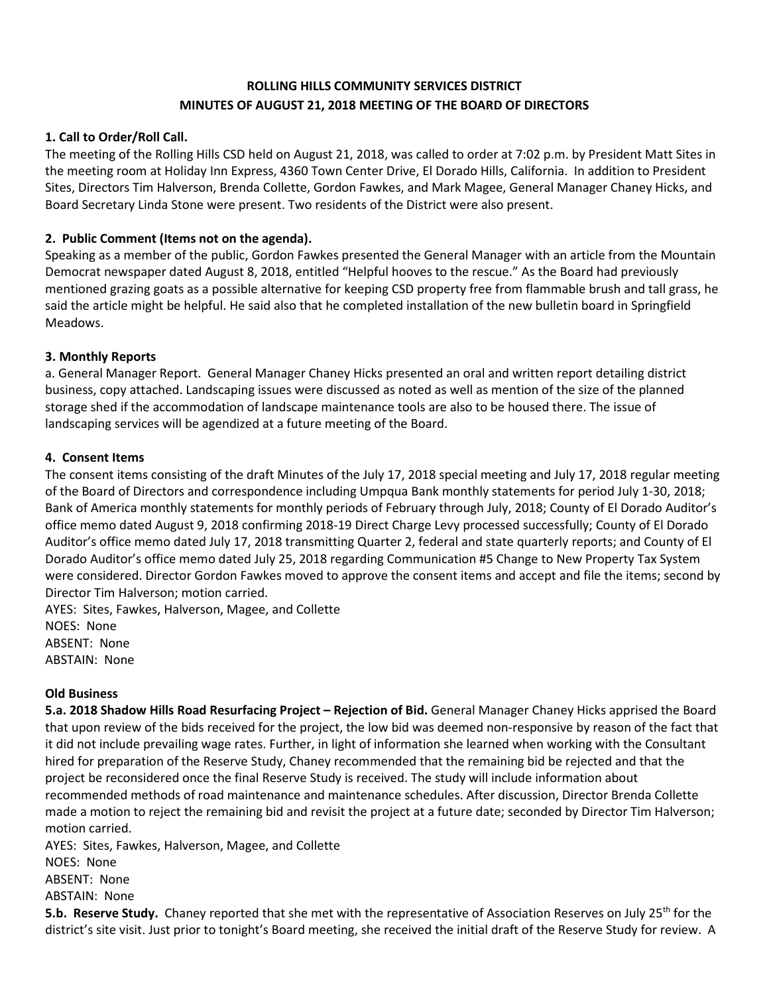# **ROLLING HILLS COMMUNITY SERVICES DISTRICT MINUTES OF AUGUST 21, 2018 MEETING OF THE BOARD OF DIRECTORS**

# **1. Call to Order/Roll Call.**

The meeting of the Rolling Hills CSD held on August 21, 2018, was called to order at 7:02 p.m. by President Matt Sites in the meeting room at Holiday Inn Express, 4360 Town Center Drive, El Dorado Hills, California. In addition to President Sites, Directors Tim Halverson, Brenda Collette, Gordon Fawkes, and Mark Magee, General Manager Chaney Hicks, and Board Secretary Linda Stone were present. Two residents of the District were also present.

# **2. Public Comment (Items not on the agenda).**

Speaking as a member of the public, Gordon Fawkes presented the General Manager with an article from the Mountain Democrat newspaper dated August 8, 2018, entitled "Helpful hooves to the rescue." As the Board had previously mentioned grazing goats as a possible alternative for keeping CSD property free from flammable brush and tall grass, he said the article might be helpful. He said also that he completed installation of the new bulletin board in Springfield Meadows.

## **3. Monthly Reports**

a. General Manager Report. General Manager Chaney Hicks presented an oral and written report detailing district business, copy attached. Landscaping issues were discussed as noted as well as mention of the size of the planned storage shed if the accommodation of landscape maintenance tools are also to be housed there. The issue of landscaping services will be agendized at a future meeting of the Board.

#### **4. Consent Items**

The consent items consisting of the draft Minutes of the July 17, 2018 special meeting and July 17, 2018 regular meeting of the Board of Directors and correspondence including Umpqua Bank monthly statements for period July 1-30, 2018; Bank of America monthly statements for monthly periods of February through July, 2018; County of El Dorado Auditor's office memo dated August 9, 2018 confirming 2018-19 Direct Charge Levy processed successfully; County of El Dorado Auditor's office memo dated July 17, 2018 transmitting Quarter 2, federal and state quarterly reports; and County of El Dorado Auditor's office memo dated July 25, 2018 regarding Communication #5 Change to New Property Tax System were considered. Director Gordon Fawkes moved to approve the consent items and accept and file the items; second by Director Tim Halverson; motion carried.

AYES: Sites, Fawkes, Halverson, Magee, and Collette NOES: None ABSENT: None ABSTAIN: None

#### **Old Business**

**5.a. 2018 Shadow Hills Road Resurfacing Project – Rejection of Bid.** General Manager Chaney Hicks apprised the Board that upon review of the bids received for the project, the low bid was deemed non-responsive by reason of the fact that it did not include prevailing wage rates. Further, in light of information she learned when working with the Consultant hired for preparation of the Reserve Study, Chaney recommended that the remaining bid be rejected and that the project be reconsidered once the final Reserve Study is received. The study will include information about recommended methods of road maintenance and maintenance schedules. After discussion, Director Brenda Collette made a motion to reject the remaining bid and revisit the project at a future date; seconded by Director Tim Halverson; motion carried.

AYES: Sites, Fawkes, Halverson, Magee, and Collette NOES: None ABSENT: None ABSTAIN: None

**5.b. Reserve Study.** Chaney reported that she met with the representative of Association Reserves on July 25<sup>th</sup> for the district's site visit. Just prior to tonight's Board meeting, she received the initial draft of the Reserve Study for review. A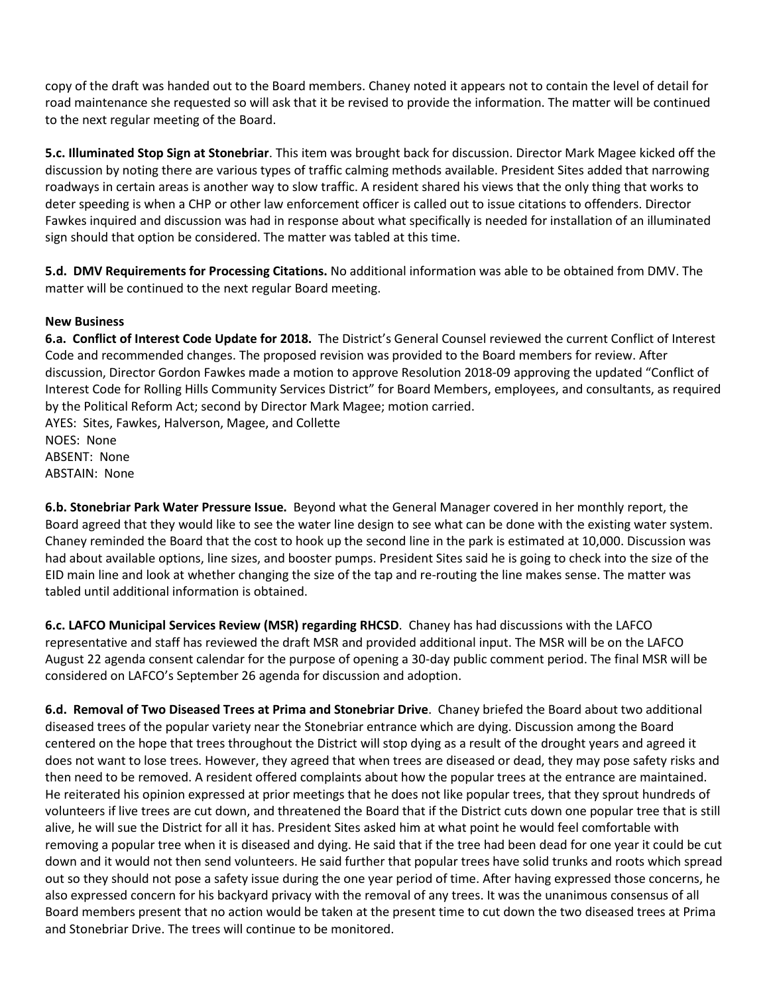copy of the draft was handed out to the Board members. Chaney noted it appears not to contain the level of detail for road maintenance she requested so will ask that it be revised to provide the information. The matter will be continued to the next regular meeting of the Board.

**5.c. Illuminated Stop Sign at Stonebriar**. This item was brought back for discussion. Director Mark Magee kicked off the discussion by noting there are various types of traffic calming methods available. President Sites added that narrowing roadways in certain areas is another way to slow traffic. A resident shared his views that the only thing that works to deter speeding is when a CHP or other law enforcement officer is called out to issue citations to offenders. Director Fawkes inquired and discussion was had in response about what specifically is needed for installation of an illuminated sign should that option be considered. The matter was tabled at this time.

**5.d. DMV Requirements for Processing Citations.** No additional information was able to be obtained from DMV. The matter will be continued to the next regular Board meeting.

## **New Business**

**6.a. Conflict of Interest Code Update for 2018.** The District's General Counsel reviewed the current Conflict of Interest Code and recommended changes. The proposed revision was provided to the Board members for review. After discussion, Director Gordon Fawkes made a motion to approve Resolution 2018-09 approving the updated "Conflict of Interest Code for Rolling Hills Community Services District" for Board Members, employees, and consultants, as required by the Political Reform Act; second by Director Mark Magee; motion carried. AYES: Sites, Fawkes, Halverson, Magee, and Collette

NOES: None ABSENT: None ABSTAIN: None

**6.b. Stonebriar Park Water Pressure Issue.** Beyond what the General Manager covered in her monthly report, the Board agreed that they would like to see the water line design to see what can be done with the existing water system. Chaney reminded the Board that the cost to hook up the second line in the park is estimated at 10,000. Discussion was had about available options, line sizes, and booster pumps. President Sites said he is going to check into the size of the EID main line and look at whether changing the size of the tap and re-routing the line makes sense. The matter was tabled until additional information is obtained.

**6.c. LAFCO Municipal Services Review (MSR) regarding RHCSD**. Chaney has had discussions with the LAFCO representative and staff has reviewed the draft MSR and provided additional input. The MSR will be on the LAFCO August 22 agenda consent calendar for the purpose of opening a 30-day public comment period. The final MSR will be considered on LAFCO's September 26 agenda for discussion and adoption.

**6.d. Removal of Two Diseased Trees at Prima and Stonebriar Drive**. Chaney briefed the Board about two additional diseased trees of the popular variety near the Stonebriar entrance which are dying. Discussion among the Board centered on the hope that trees throughout the District will stop dying as a result of the drought years and agreed it does not want to lose trees. However, they agreed that when trees are diseased or dead, they may pose safety risks and then need to be removed. A resident offered complaints about how the popular trees at the entrance are maintained. He reiterated his opinion expressed at prior meetings that he does not like popular trees, that they sprout hundreds of volunteers if live trees are cut down, and threatened the Board that if the District cuts down one popular tree that is still alive, he will sue the District for all it has. President Sites asked him at what point he would feel comfortable with removing a popular tree when it is diseased and dying. He said that if the tree had been dead for one year it could be cut down and it would not then send volunteers. He said further that popular trees have solid trunks and roots which spread out so they should not pose a safety issue during the one year period of time. After having expressed those concerns, he also expressed concern for his backyard privacy with the removal of any trees. It was the unanimous consensus of all Board members present that no action would be taken at the present time to cut down the two diseased trees at Prima and Stonebriar Drive. The trees will continue to be monitored.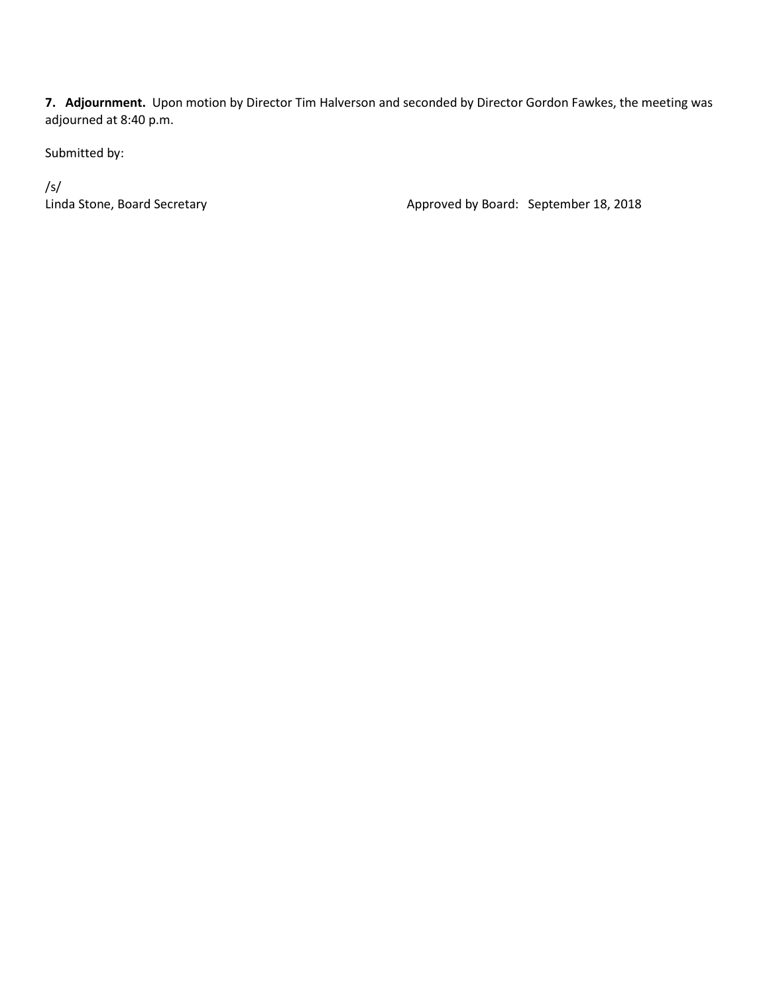**7. Adjournment.** Upon motion by Director Tim Halverson and seconded by Director Gordon Fawkes, the meeting was adjourned at 8:40 p.m.

Submitted by:

/s/<br>Linda Stone, Board Secretary

Approved by Board: September 18, 2018